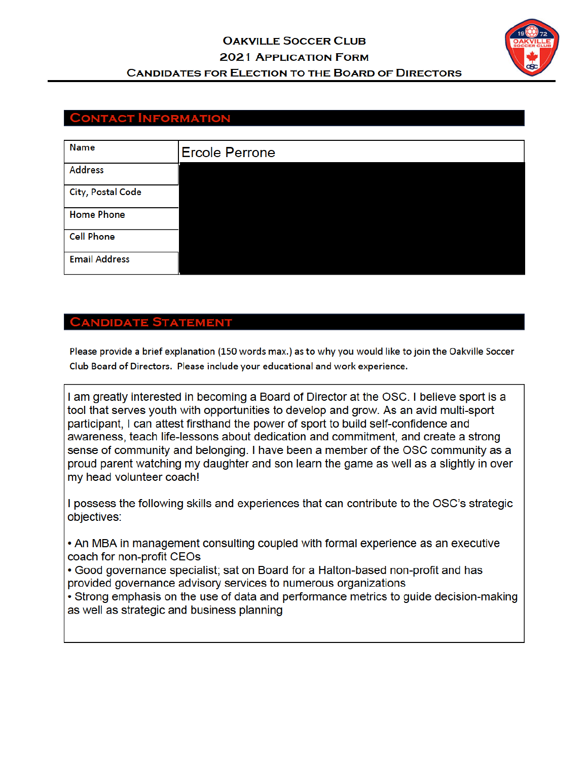

## **CONTACT INFORMATION**

| Name                 | <b>Ercole Perrone</b> |
|----------------------|-----------------------|
| <b>Address</b>       |                       |
| City, Postal Code    |                       |
| <b>Home Phone</b>    |                       |
| <b>Cell Phone</b>    |                       |
| <b>Email Address</b> |                       |

#### **CANDIDATE STATEMENT**

Please provide a brief explanation (150 words max.) as to why you would like to join the Oakville Soccer Club Board of Directors. Please include your educational and work experience.

I am greatly interested in becoming a Board of Director at the OSC. I believe sport is a tool that serves youth with opportunities to develop and grow. As an avid multi-sport participant, I can attest firsthand the power of sport to build self-confidence and awareness, teach life-lessons about dedication and commitment, and create a strong sense of community and belonging. I have been a member of the OSC community as a proud parent watching my daughter and son learn the game as well as a slightly in over my head volunteer coach!

I possess the following skills and experiences that can contribute to the OSC's strategic objectives:

• An MBA in management consulting coupled with formal experience as an executive coach for non-profit CEOs

• Good governance specialist; sat on Board for a Halton-based non-profit and has provided governance advisory services to numerous organizations

• Strong emphasis on the use of data and performance metrics to guide decision-making as well as strategic and business planning